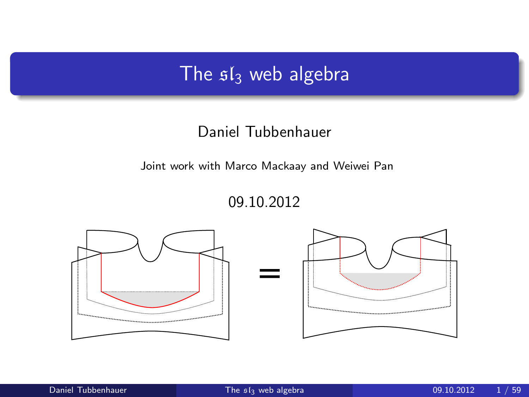## The  $sI_3$  web algebra

#### Daniel Tubbenhauer

Joint work with Marco Mackaay and Weiwei Pan

<span id="page-0-0"></span>09.10.2012

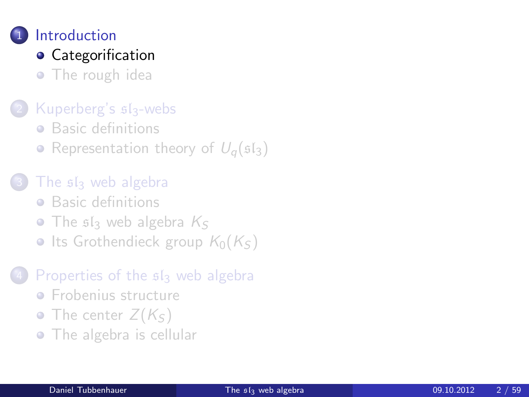## **[Introduction](#page-1-0)**

## **•** [Categorification](#page-1-0)

• [The rough idea](#page-6-0)

### [Kuperberg's](#page-8-0)  $s1_3$ -webs

- **•** [Basic definitions](#page-8-0)
- [Representation theory of](#page-13-0)  $U_q(\mathfrak{sl}_3)$

### The siz [web algebra](#page-17-0)

- **•** [Basic definitions](#page-17-0)
- $\bullet$  The s<sub>s</sub> [web algebra](#page-24-0)  $K_S$
- [Its Grothendieck group](#page-29-0)  $K_0(K<sub>S</sub>)$

### [Properties of the](#page-45-0)  $sI_3$  web algebra

- **•** [Frobenius structure](#page-45-0)
- [The center](#page-48-0)  $Z(K<sub>S</sub>)$
- <span id="page-1-0"></span>• [The algebra is cellular](#page-53-0)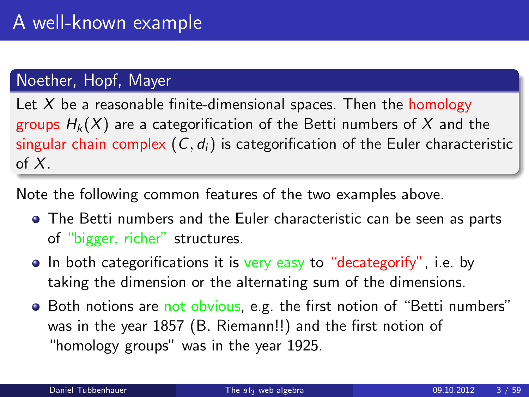### Noether, Hopf, Mayer

Let  $X$  be a reasonable finite-dimensional spaces. Then the homology groups  $H_k(X)$  are a categorification of the Betti numbers of X and the singular chain complex  $(C, d_i)$  is categorification of the Euler characteristic of  $X$ .

Note the following common features of the two examples above.

- The Betti numbers and the Euler characteristic can be seen as parts of "bigger, richer" structures.
- In both categorifications it is very easy to "decategorify", i.e. by taking the dimension or the alternating sum of the dimensions.
- Both notions are not obvious, e.g. the first notion of "Betti numbers" was in the year 1857 (B. Riemann!!) and the first notion of "homology groups" was in the year 1925.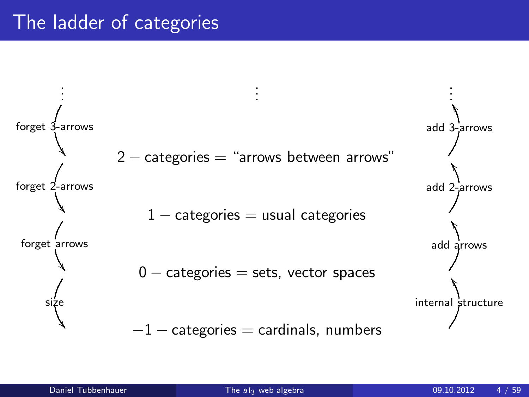## The ladder of categories

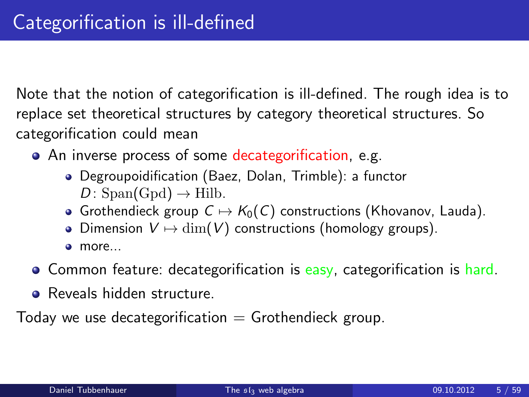Note that the notion of categorification is ill-defined. The rough idea is to replace set theoretical structures by category theoretical structures. So categorification could mean

- An inverse process of some decategorification, e.g.
	- Degroupoidification (Baez, Dolan, Trimble): a functor  $D: Span(\text{Gpd}) \to \text{Hilb}.$
	- Grothendieck group  $C \mapsto K_0(C)$  constructions (Khovanov, Lauda).
	- Dimension  $V \mapsto \dim(V)$  constructions (homology groups).
	- $\bullet$ more...
- Common feature: decategorification is easy, categorification is hard.
- Reveals hidden structure.

Today we use decategorification  $=$  Grothendieck group.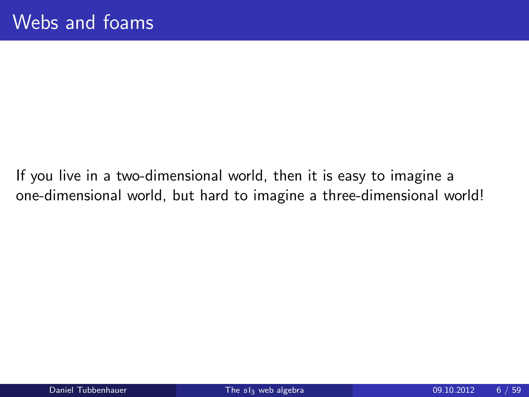If you live in a two-dimensional world, then it is easy to imagine a one-dimensional world, but hard to imagine a three-dimensional world!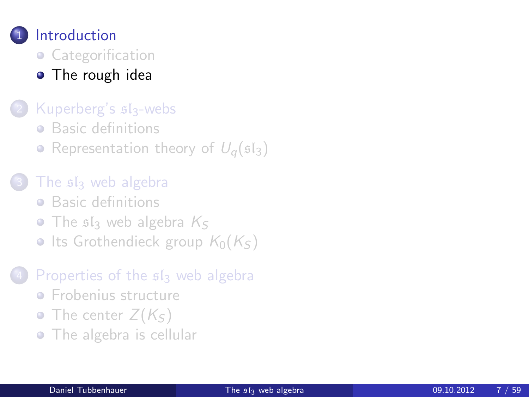

- [Categorification](#page-1-0)
- [The rough idea](#page-6-0)

#### [Kuperberg's](#page-8-0)  $s1_3$ -webs

- **•** [Basic definitions](#page-8-0)
- [Representation theory of](#page-13-0)  $U_q(\mathfrak{sl}_3)$

### The siz [web algebra](#page-17-0)

- **•** [Basic definitions](#page-17-0)
- $\bullet$  The s<sub>s</sub> [web algebra](#page-24-0)  $K_S$
- [Its Grothendieck group](#page-29-0)  $K_0(K<sub>S</sub>)$

#### [Properties of the](#page-45-0)  $sI_3$  web algebra

- **•** [Frobenius structure](#page-45-0)
- [The center](#page-48-0)  $Z(K<sub>S</sub>)$
- <span id="page-6-0"></span>• [The algebra is cellular](#page-53-0)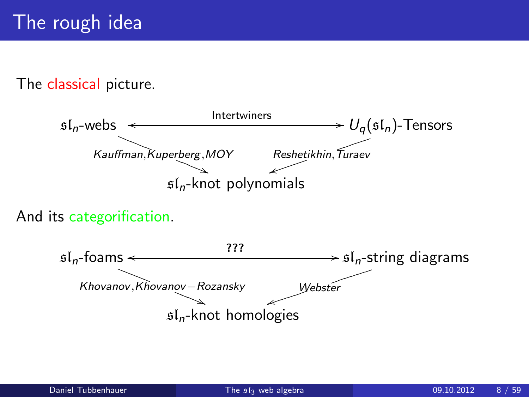#### The classical picture.



And its categorification.

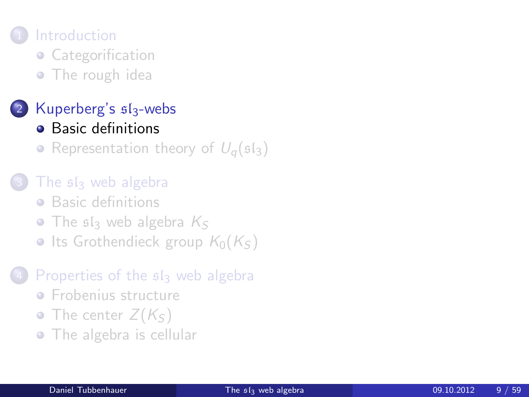## **[Introduction](#page-1-0)**

- [Categorification](#page-1-0)
- [The rough idea](#page-6-0)

## [Kuperberg's](#page-8-0)  $s1_3$ -webs

- [Basic definitions](#page-8-0)
- [Representation theory of](#page-13-0)  $U_{\alpha}(\mathfrak{sl}_3)$

### The siz [web algebra](#page-17-0)

- **•** [Basic definitions](#page-17-0)
- $\bullet$  The s<sub>s</sub> [web algebra](#page-24-0)  $K_S$
- [Its Grothendieck group](#page-29-0)  $K_0(K<sub>S</sub>)$

### [Properties of the](#page-45-0)  $sI_3$  web algebra

- **•** [Frobenius structure](#page-45-0)
- [The center](#page-48-0)  $Z(K<sub>S</sub>)$
- <span id="page-8-0"></span>• [The algebra is cellular](#page-53-0)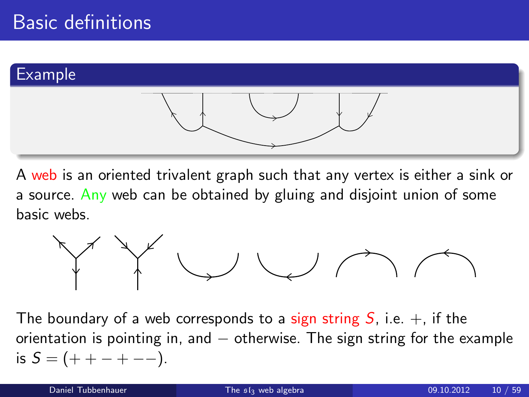

A web is an oriented trivalent graph such that any vertex is either a sink or a source. Any web can be obtained by gluing and disjoint union of some basic webs.



The boundary of a web corresponds to a sign string S, i.e.  $+$ , if the orientation is pointing in, and  $-$  otherwise. The sign string for the example is  $S = (+ + - + - -).$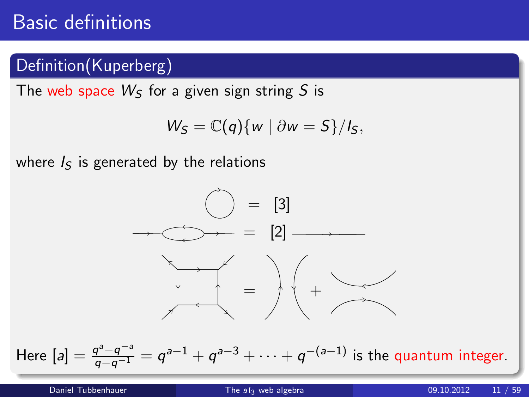## Basic definitions

## Definition(Kuperberg)

The web space  $W<sub>S</sub>$  for a given sign string S is

$$
W_S = \mathbb{C}(q)\{w \mid \partial w = S\}/I_S,
$$

where  $I<sub>S</sub>$  is generated by the relations



Here  $[a] = \frac{q^a - q^{-a}}{q - q^{-1}} = q^{a-1} + q^{a-3} + \cdots + q^{-(a-1)}$  is the quantum integer.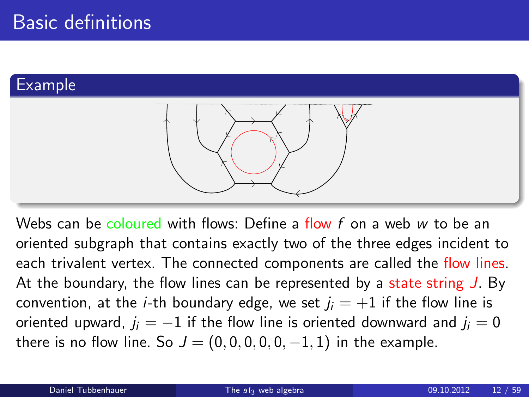### Example



Webs can be coloured with flows: Define a flow  $f$  on a web  $w$  to be an oriented subgraph that contains exactly two of the three edges incident to each trivalent vertex. The connected components are called the flow lines. At the boundary, the flow lines can be represented by a state string J. By convention, at the *i*-th boundary edge, we set  $j_i = +1$  if the flow line is oriented upward,  $j_i = -1$  if the flow line is oriented downward and  $j_i = 0$ there is no flow line. So  $J = (0, 0, 0, 0, 0, -1, 1)$  in the example.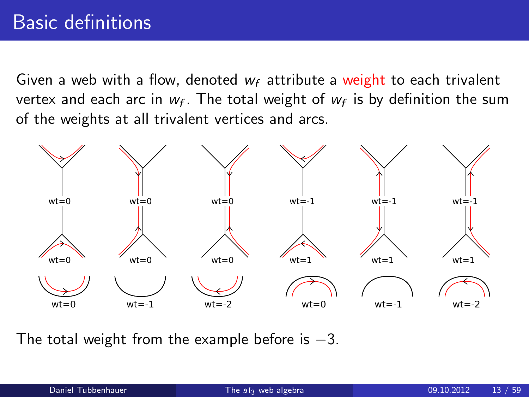Given a web with a flow, denoted  $w_f$  attribute a weight to each trivalent vertex and each arc in  $w_f$ . The total weight of  $w_f$  is by definition the sum of the weights at all trivalent vertices and arcs.



The total weight from the example before is  $-3$ .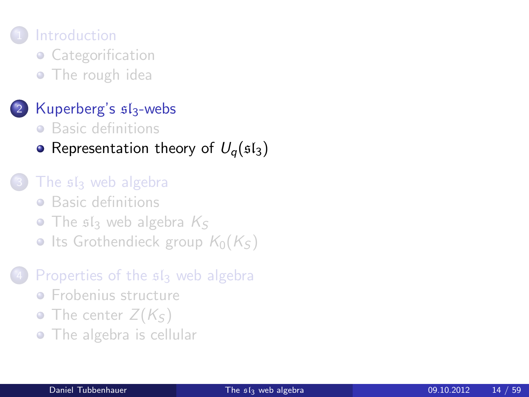## **[Introduction](#page-1-0)**

- [Categorification](#page-1-0)
- [The rough idea](#page-6-0)

### [Kuperberg's](#page-8-0)  $s1_3$ -webs

- **•** [Basic definitions](#page-8-0)
- [Representation theory of](#page-13-0)  $U_q(\mathfrak{sl}_3)$

### The siz [web algebra](#page-17-0)

- **•** [Basic definitions](#page-17-0)
- $\bullet$  The s<sub>s</sub> [web algebra](#page-24-0)  $K_S$
- [Its Grothendieck group](#page-29-0)  $K_0(K<sub>S</sub>)$

### [Properties of the](#page-45-0)  $sI_3$  web algebra

- **•** [Frobenius structure](#page-45-0)
- [The center](#page-48-0)  $Z(K<sub>S</sub>)$
- <span id="page-13-0"></span>• [The algebra is cellular](#page-53-0)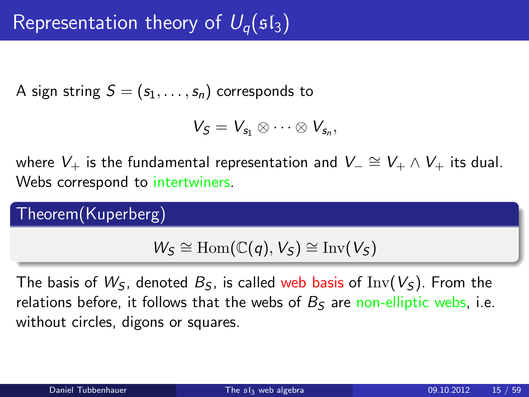A sign string  $S = (s_1, \ldots, s_n)$  corresponds to

$$
V_S=V_{s_1}\otimes\cdots\otimes V_{s_n},
$$

where  $V_+$  is the fundamental representation and  $V_-\cong V_+\wedge V_+$  its dual. Webs correspond to intertwiners.

Theorem(Kuperberg)

$$
W_S \cong \mathrm{Hom}(\mathbb{C}(q), V_S) \cong \mathrm{Inv}(V_S)
$$

The basis of  $W_{\mathsf{S}}$ , denoted  $B_{\mathsf{S}}$ , is called web basis of Inv( $V_{\mathsf{S}}$ ). From the relations before, it follows that the webs of  $B<sub>S</sub>$  are non-elliptic webs, i.e. without circles, digons or squares.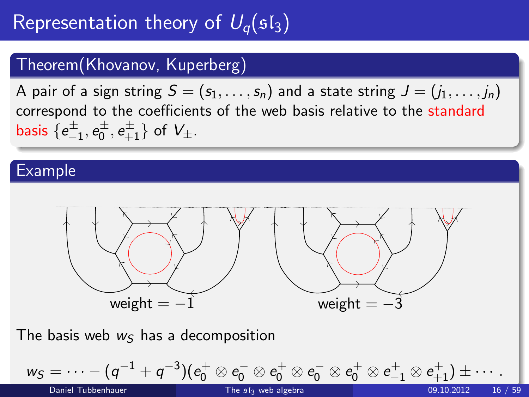# Representation theory of  $U_{\alpha}(\mathfrak{sl}_3)$

### Theorem(Khovanov, Kuperberg)

A pair of a sign string  $S = (s_1, \ldots, s_n)$  and a state string  $J = (j_1, \ldots, j_n)$ correspond to the coefficients of the web basis relative to the standard basis  $\{e_{-1}^{\pm},e_{0}^{\pm},e_{+1}^{\pm}\}$  of  $V_{\pm}$ .

#### Example



The basis web  $w<sub>S</sub>$  has a decomposition

$$
\underline{w_S=\cdots-(q^{-1}+q^{-3})(e_0^+\otimes e_0^-\otimes e_0^+\otimes e_0^-\otimes e_0^+\otimes e_{-1}^+\otimes e_{+1}^+)\pm\cdots}_{\text{Then 51y web algebra}}.
$$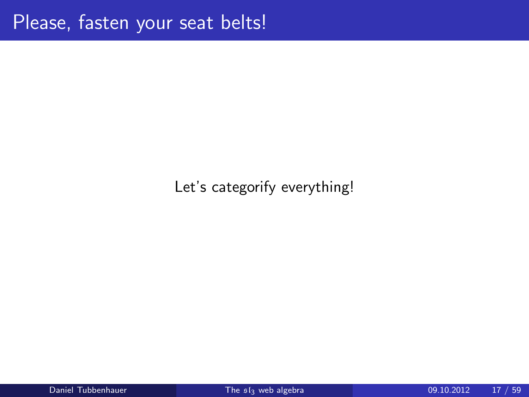### Let's categorify everything!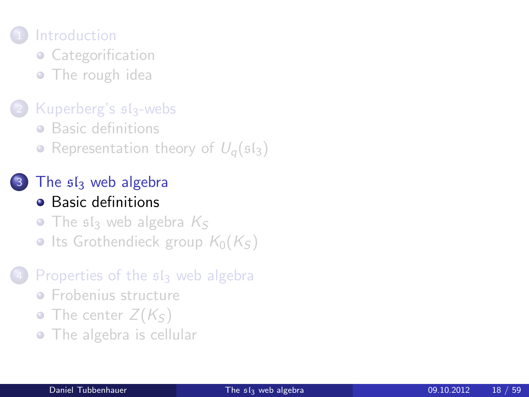## **[Introduction](#page-1-0)**

- [Categorification](#page-1-0)
- [The rough idea](#page-6-0)

### [Kuperberg's](#page-8-0)  $s1_3$ -webs

- **•** [Basic definitions](#page-8-0)
- [Representation theory of](#page-13-0)  $U_q(\mathfrak{sl}_3)$

# The  $s1s$  [web algebra](#page-17-0)

- **•** [Basic definitions](#page-17-0)
- $\bullet$  The s<sub>s</sub> [web algebra](#page-24-0)  $K_S$
- [Its Grothendieck group](#page-29-0)  $K_0(K<sub>S</sub>)$

#### [Properties of the](#page-45-0)  $sI_3$  web algebra

- **•** [Frobenius structure](#page-45-0)
- [The center](#page-48-0)  $Z(K<sub>S</sub>)$
- <span id="page-17-0"></span>• [The algebra is cellular](#page-53-0)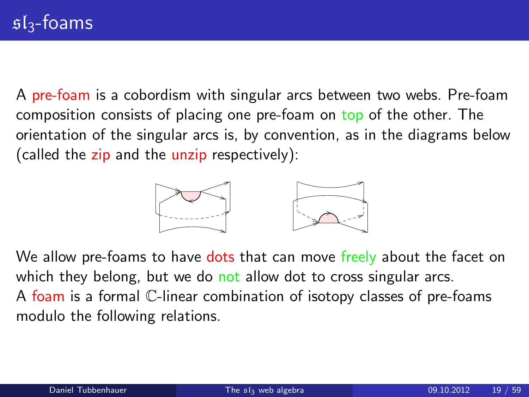A pre-foam is a cobordism with singular arcs between two webs. Pre-foam composition consists of placing one pre-foam on top of the other. The orientation of the singular arcs is, by convention, as in the diagrams below (called the zip and the unzip respectively):



We allow pre-foams to have dots that can move freely about the facet on which they belong, but we do not allow dot to cross singular arcs. A foam is a formal C-linear combination of isotopy classes of pre-foams modulo the following relations.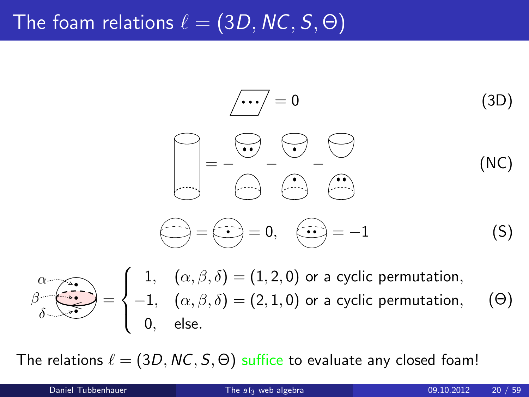## The foam relations  $\ell = (3D, NC, S, \Theta)$

$$
\begin{array}{ccc}\n\overline{\cdots} & = & 0 & (3D) \\
\hline\n\end{array}
$$
\n
$$
\begin{array}{ccc}\n\overline{\cdots} & = & 0 & (3D) \\
\hline\n\end{array}
$$
\n
$$
\begin{array}{ccc}\n\overline{\cdots} & = & 0 \\
\hline\n\end{array}
$$
\n
$$
\begin{array}{ccc}\n\overline{\cdots} & = & \overline{\cdots} \\
\hline\n\end{array}
$$
\n
$$
\begin{array}{ccc}\n\overline{\cdots} & = & 0, & \overline{\cdots} = -1 & (S)\n\end{array}
$$

$$
\beta \overbrace{\delta}_{\delta} \overbrace{\bullet \bullet \bullet}_{\bullet} = \begin{cases} 1, & (\alpha, \beta, \delta) = (1, 2, 0) \text{ or a cyclic permutation,} \\ -1, & (\alpha, \beta, \delta) = (2, 1, 0) \text{ or a cyclic permutation,} \\ 0, & \text{else.} \end{cases} \tag{ \Theta}
$$

The relations  $\ell = (3D, NC, S, \Theta)$  suffice to evaluate any closed foam!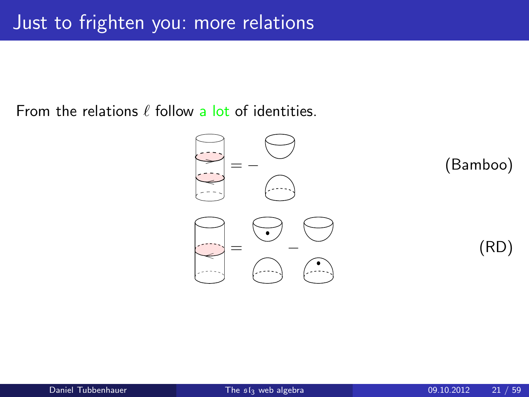From the relations  $\ell$  follow a lot of identities.

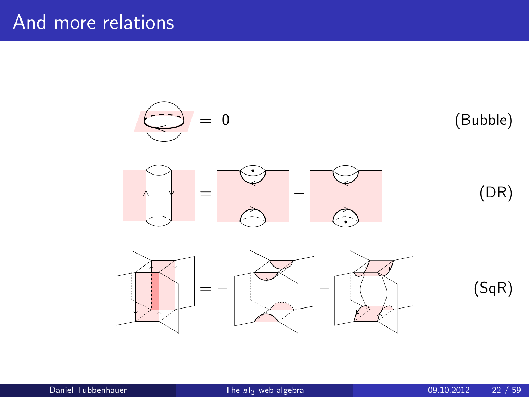## And more relations

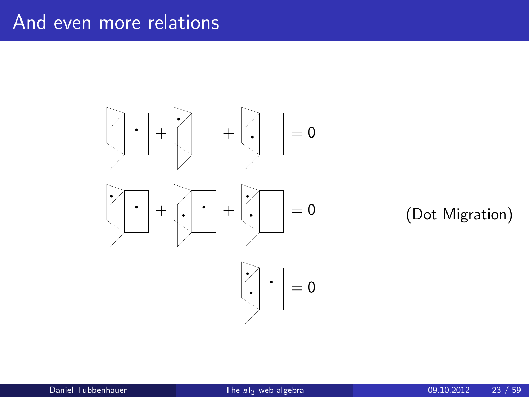## And even more relations



### (Dot Migration)

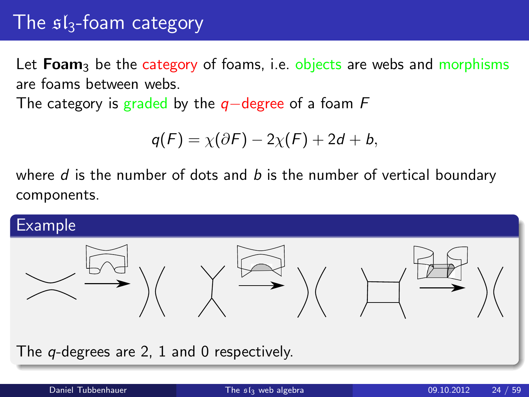## The  $sI_3$ -foam category

Let  $Foam<sub>3</sub>$  be the category of foams, i.e. objects are webs and morphisms are foams between webs.

The category is graded by the  $q$ −degree of a foam F

$$
q(F) = \chi(\partial F) - 2\chi(F) + 2d + b,
$$

where  $d$  is the number of dots and  $b$  is the number of vertical boundary components.



The *q*-degrees are 2, 1 and 0 respectively.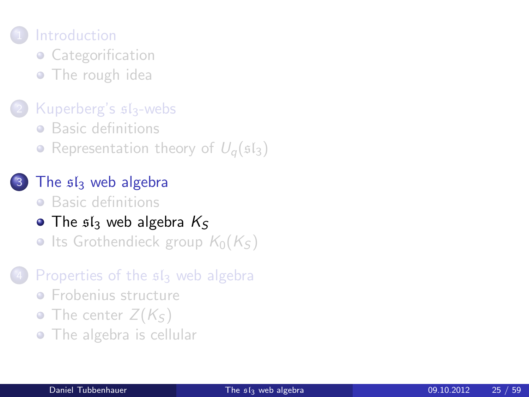## **[Introduction](#page-1-0)**

- [Categorification](#page-1-0)
- [The rough idea](#page-6-0)

### [Kuperberg's](#page-8-0)  $s1_3$ -webs

- **•** [Basic definitions](#page-8-0)
- [Representation theory of](#page-13-0)  $U_q(\mathfrak{sl}_3)$
- The  $s1s$  [web algebra](#page-17-0)
	- **•** [Basic definitions](#page-17-0)
- $\bullet$  The s<sub>s</sub> [web algebra](#page-24-0)  $K_S$
- [Its Grothendieck group](#page-29-0)  $K_0(K_S)$

#### [Properties of the](#page-45-0)  $sI_3$  web algebra

- **•** [Frobenius structure](#page-45-0)
- [The center](#page-48-0)  $Z(K<sub>S</sub>)$
- <span id="page-24-0"></span>• [The algebra is cellular](#page-53-0)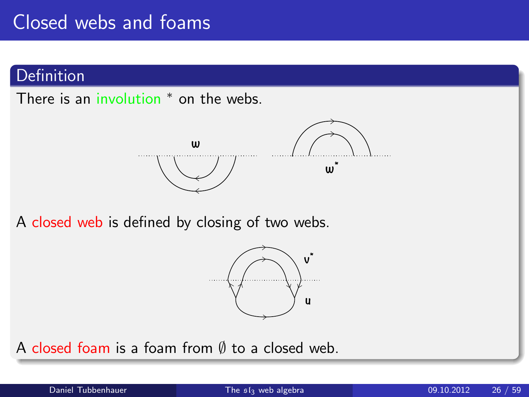## Closed webs and foams

### Definition

There is an involution <sup>\*</sup> on the webs.



A closed web is defined by closing of two webs.



A closed foam is a foam from  $\emptyset$  to a closed web.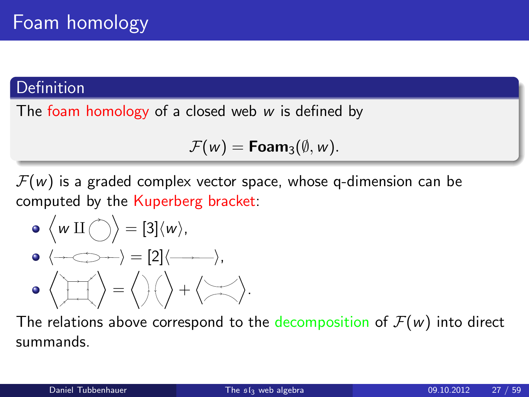### Definition

The foam homology of a closed web  $w$  is defined by

$$
\mathcal{F}(w) = \text{Foam}_3(\emptyset, w).
$$

 $\mathcal{F}(w)$  is a graded complex vector space, whose q-dimension can be computed by the Kuperberg bracket:

\n- $$
\langle w \amalg \bigcirc \rangle = [3] \langle w \rangle
$$
,
\n- $\langle \longrightarrow \longrightarrow = [2] \langle \longrightarrow \rangle$ ,
\n- $\langle \bigcirc \bigcirc \bigcirc \bigcirc \bigcirc = \langle \bigcirc \rangle \langle \bigcirc \bigcirc + \langle \bigcirc \bigcirc \bigcirc \rangle \rangle$ .
\n

The relations above correspond to the decomposition of  $\mathcal{F}(w)$  into direct summands.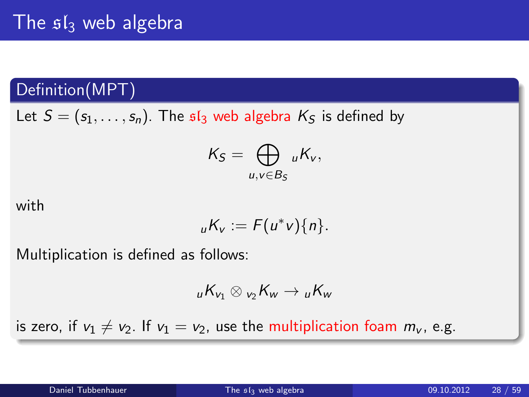## The  $sI_3$  web algebra

## Definition(MPT)

Let  $S = (s_1, \ldots, s_n)$ . The  $sI_3$  web algebra  $K_S$  is defined by

$$
K_S=\bigoplus_{u,v\in B_S} {}_uK_v,
$$

with

$$
_{u}K_{v}:=F(u^{\ast}v)\{n\}.
$$

Multiplication is defined as follows:

$$
{}_{u}K_{v_1}\otimes{}_{v_2}K_{w}\to {}_{u}K_{w}
$$

is zero, if  $v_1 \neq v_2$ . If  $v_1 = v_2$ , use the multiplication foam  $m_v$ , e.g.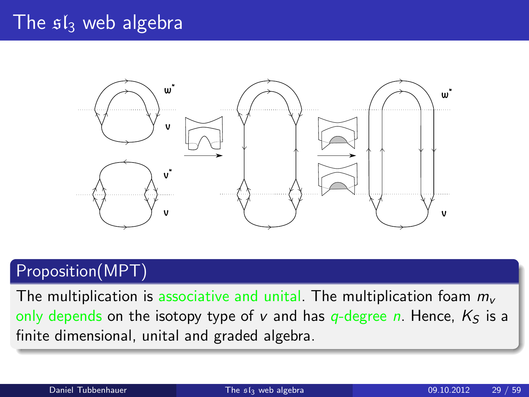## The  $sI_3$  web algebra



## Proposition(MPT)

The multiplication is associative and unital. The multiplication foam  $m_{\nu}$ only depends on the isotopy type of v and has  $q$ -degree n. Hence,  $K<sub>S</sub>$  is a finite dimensional, unital and graded algebra.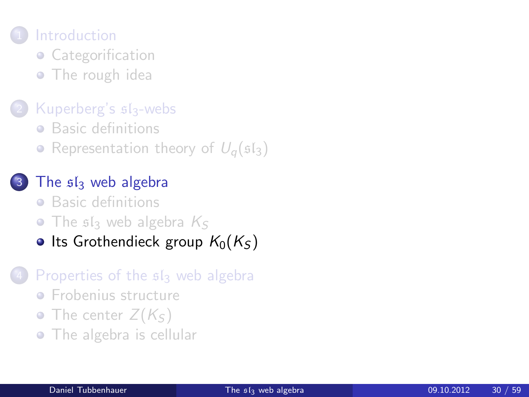## **[Introduction](#page-1-0)**

- [Categorification](#page-1-0)
- [The rough idea](#page-6-0)

### [Kuperberg's](#page-8-0)  $s1_3$ -webs

- **•** [Basic definitions](#page-8-0)
- [Representation theory of](#page-13-0)  $U_q(\mathfrak{sl}_3)$

### The  $s1s$  [web algebra](#page-17-0)

- **•** [Basic definitions](#page-17-0)
- $\bullet$  The s<sub>s</sub> [web algebra](#page-24-0)  $K_S$

### • [Its Grothendieck group](#page-29-0)  $K_0(K_S)$

#### [Properties of the](#page-45-0)  $sI_3$  web algebra

- **•** [Frobenius structure](#page-45-0)
- [The center](#page-48-0)  $Z(K<sub>S</sub>)$
- <span id="page-29-0"></span>• [The algebra is cellular](#page-53-0)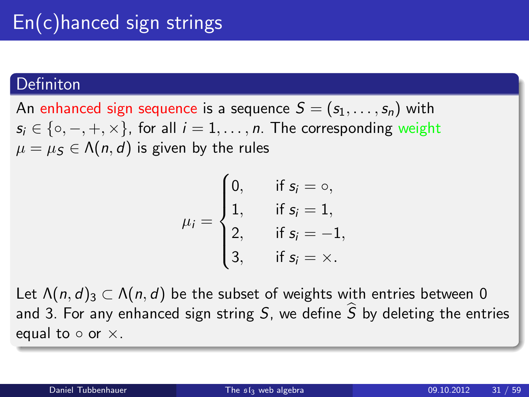#### **Definiton**

An enhanced sign sequence is a sequence  $S = (s_1, \ldots, s_n)$  with  $s_i \in \{ \circ, -, +, \times \}$ , for all  $i = 1, \ldots, n$ . The corresponding weight  $\mu = \mu_S \in \Lambda(n, d)$  is given by the rules

$$
\mu_i = \begin{cases} 0, & \text{if } s_i = \circ, \\ 1, & \text{if } s_i = 1, \\ 2, & \text{if } s_i = -1, \\ 3, & \text{if } s_i = \times. \end{cases}
$$

Let  $\Lambda(n, d)$ <sub>3</sub>  $\subset \Lambda(n, d)$  be the subset of weights with entries between 0 and 3. For any enhanced sign string S, we define  $\widehat{S}$  by deleting the entries equal to  $\circ$  or  $\times$ .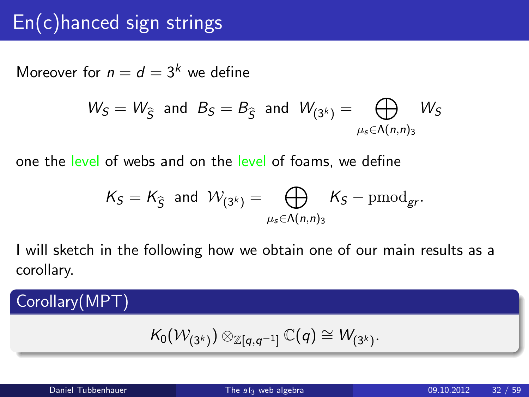## $En(c)$ hanced sign strings

Moreover for  $n = d = 3<sup>k</sup>$  we define

$$
W_S = W_{\widehat{S}} \text{ and } B_S = B_{\widehat{S}} \text{ and } W_{(3^k)} = \bigoplus_{\mu_s \in \Lambda(n,n)_3} W_S
$$

one the level of webs and on the level of foams, we define

$$
\mathcal{K}_S = \mathcal{K}_{\widehat{S}} \text{ and } \mathcal{W}_{(3^k)} = \bigoplus_{\mu_s \in \Lambda(n,n)_3} \mathcal{K}_S - \mathrm{pmod}_{gr}.
$$

I will sketch in the following how we obtain one of our main results as a corollary.

## Corollary(MPT)

$$
\mathcal{K}_0(\mathcal{W}_{(3^k)}) \otimes_{\mathbb{Z}[q,q^{-1}]} \mathbb{C}(q) \cong \mathcal{W}_{(3^k)}.
$$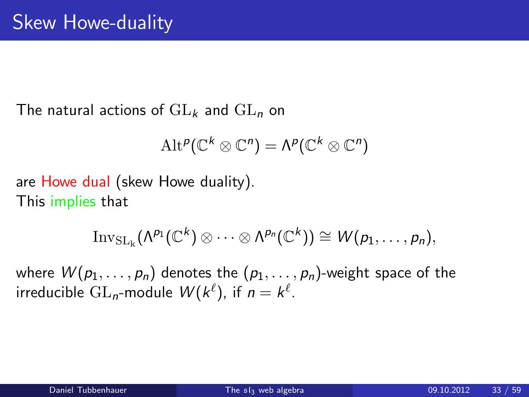The natural actions of  $GL_k$  and  $GL_n$  on

$$
\mathrm{Alt}^p(\mathbb{C}^k \otimes \mathbb{C}^n) = \Lambda^p(\mathbb{C}^k \otimes \mathbb{C}^n)
$$

are Howe dual (skew Howe duality). This implies that

$$
\mathrm{Inv}_{\mathrm{SL}_k}(\Lambda^{p_1}(\mathbb{C}^k)\otimes\cdots\otimes\Lambda^{p_n}(\mathbb{C}^k))\cong W(p_1,\ldots,p_n),
$$

where  $W(p_1, \ldots, p_n)$  denotes the  $(p_1, \ldots, p_n)$ -weight space of the irreducible  $\mathrm{GL}_{n}\text{-}\mathrm{module}\;\mathcal{W}(\mathbb{k}^{\ell}),$  if  $n=\mathbb{k}^{\ell}.$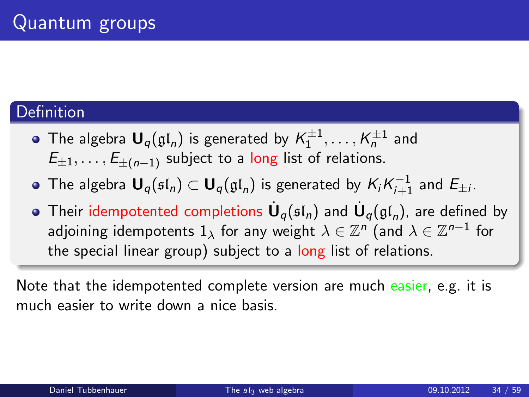### **Definition**

- The algebra  $\mathbf{U}_q(\mathfrak{gl}_n)$  is generated by  $\mathcal{K}^{\pm 1}_1,\ldots,\mathcal{K}^{\pm 1}_n$  and  $E_{\pm 1}, \ldots, E_{+(n-1)}$  subject to a long list of relations.
- The algebra  $\mathbf{U}_q(\mathfrak{sl}_n)\subset \mathbf{U}_q(\mathfrak{gl}_n)$  is generated by  $\mathcal{K}_i\mathcal{K}_{i+1}^{-1}$  and  $\mathcal{E}_{\pm i}.$
- Their idempotented completions  $\dot{\mathbf U}_q(\mathfrak{sl}_n)$  and  $\dot{\mathbf U}_q(\mathfrak{gl}_n)$ , are defined by adjoining idempotents  $1_\lambda$  for any weight  $\lambda\in\mathbb{Z}^n$  (and  $\lambda\in\mathbb{Z}^{n-1}$  for the special linear group) subject to a long list of relations.

Note that the idempotented complete version are much easier, e.g. it is much easier to write down a nice basis.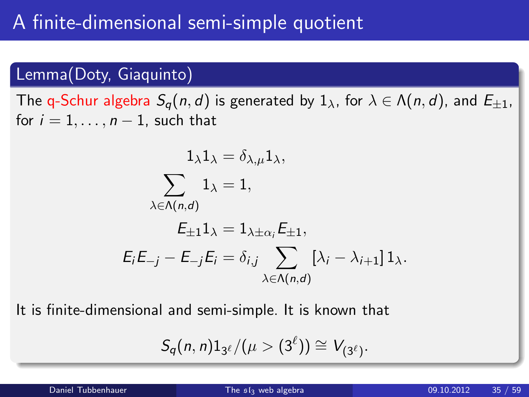### Lemma(Doty, Giaquinto)

The q-Schur algebra  $S_q(n, d)$  is generated by  $1_\lambda$ , for  $\lambda \in \Lambda(n, d)$ , and  $E_{\pm 1}$ , for  $i = 1, \ldots, n - 1$ , such that

$$
1_{\lambda}1_{\lambda} = \delta_{\lambda,\mu}1_{\lambda},
$$
  

$$
\sum_{\lambda \in \Lambda(n,d)} 1_{\lambda} = 1,
$$
  

$$
E_{\pm 1}1_{\lambda} = 1_{\lambda \pm \alpha_i}E_{\pm 1},
$$
  

$$
E_iE_{-j} - E_{-j}E_i = \delta_{i,j} \sum_{\lambda \in \Lambda(n,d)} [\lambda_i - \lambda_{i+1}]1_{\lambda}.
$$

It is finite-dimensional and semi-simple. It is known that

$$
S_q(n,n)1_{3^{\ell}}/(\mu>(3^{\ell}))\cong V_{(3^{\ell})}.
$$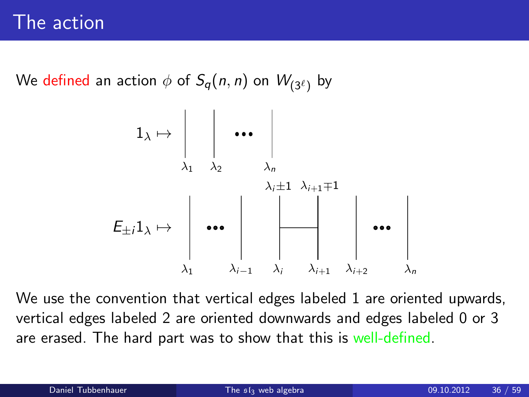We defined an action  $\phi$  of  $S_q(n,n)$  on  $W_{(3^\ell)}$  by



We use the convention that vertical edges labeled 1 are oriented upwards, vertical edges labeled 2 are oriented downwards and edges labeled 0 or 3 are erased. The hard part was to show that this is well-defined.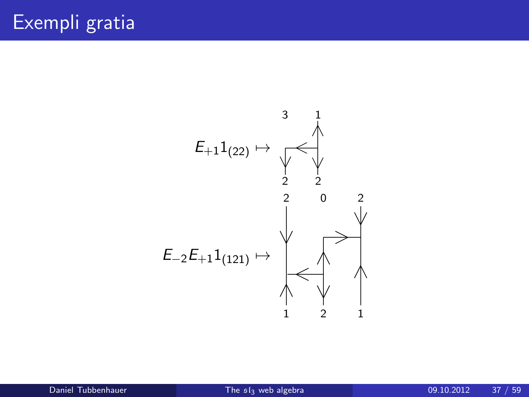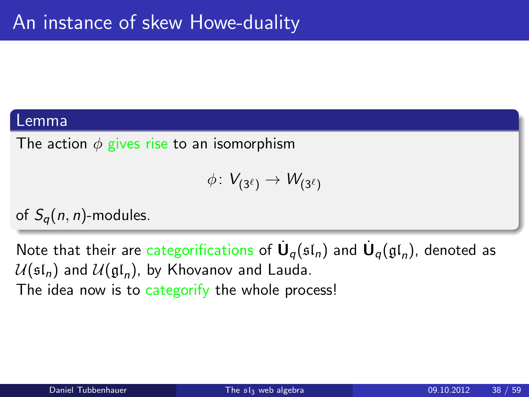#### Lemma

The action  $\phi$  gives rise to an isomorphism

$$
\phi\colon V_{(3^\ell)}\to W_{(3^\ell)}
$$

of  $S_a(n, n)$ -modules.

Note that their are categorifications of  $\dot{\mathsf{U}}_q(\mathfrak{sl}_n)$  and  $\dot{\mathsf{U}}_q(\mathfrak{gl}_n)$ , denoted as  $\mathcal{U}(\mathfrak{sl}_n)$  and  $\mathcal{U}(\mathfrak{gl}_n)$ , by Khovanov and Lauda. The idea now is to categorify the whole process!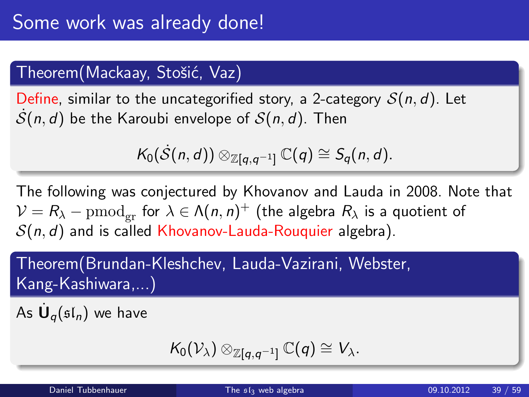## Theorem (Mackaay, Stošić, Vaz)

Define, similar to the uncategorified story, a 2-category  $S(n, d)$ . Let  $\mathcal{S}(n, d)$  be the Karoubi envelope of  $\mathcal{S}(n, d)$ . Then

$$
\mathcal{K}_0(\dot{S}(n,d))\otimes_{\mathbb{Z}[q,q^{-1}]} \mathbb{C}(q)\cong S_q(n,d).
$$

The following was conjectured by Khovanov and Lauda in 2008. Note that  $\mathcal{V} = R_\lambda - \mathrm{pmod}_{\mathrm{gr}}$  for  $\lambda \in \mathsf{\Lambda}(n,n)^+$  (the algebra  $R_\lambda$  is a quotient of  $S(n, d)$  and is called Khovanov-Lauda-Rouquier algebra).

Theorem(Brundan-Kleshchev, Lauda-Vazirani, Webster, Kang-Kashiwara,...)

As  $\dot{\mathsf{U}}_q(\mathfrak{sl}_n)$  we have

$$
\mathcal{K}_0(\mathcal{V}_\lambda) \otimes_{\mathbb{Z}[q,q^{-1}]} \mathbb{C}(q) \cong V_\lambda.
$$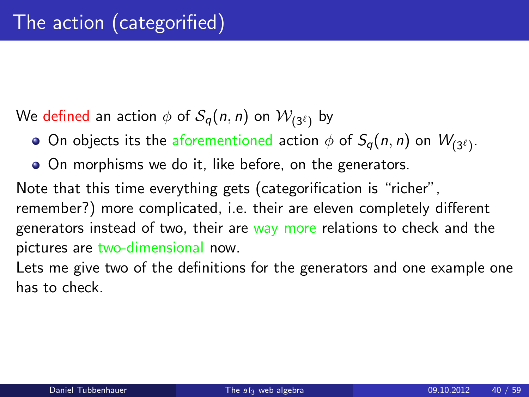We defined an action  $\phi$  of  $\mathcal{S}_q(n,n)$  on  $\mathcal{W}_{(3^\ell)}$  by

- On objects its the aforementioned action  $\phi$  of  $S_q(n,n)$  on  $W_{(3^\ell)}.$
- On morphisms we do it, like before, on the generators.

Note that this time everything gets (categorification is "richer", remember?) more complicated, i.e. their are eleven completely different generators instead of two, their are way more relations to check and the pictures are two-dimensional now.

Lets me give two of the definitions for the generators and one example one has to check.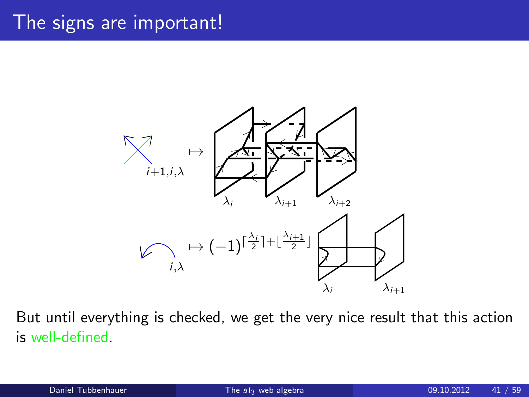## The signs are important!



But until everything is checked, we get the very nice result that this action is well-defined.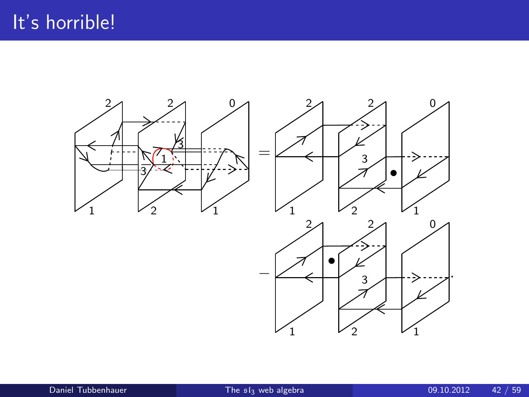

1  $V_2$   $V_1$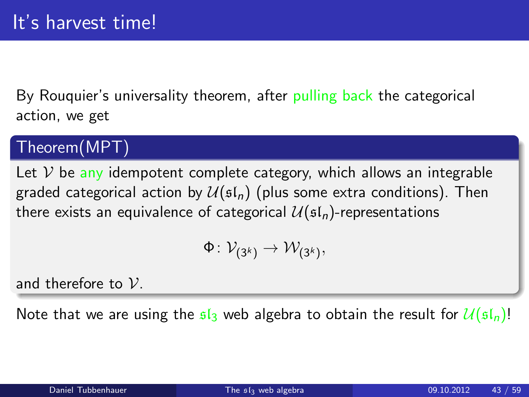By Rouquier's universality theorem, after pulling back the categorical action, we get

### Theorem(MPT)

Let  $V$  be any idempotent complete category, which allows an integrable graded categorical action by  $\mathcal{U}(\mathfrak{sl}_n)$  (plus some extra conditions). Then there exists an equivalence of categorical  $\mathcal{U}(\mathfrak{sl}_n)$ -representations

$$
\Phi\colon \mathcal{V}_{(3^k)} \to \mathcal{W}_{(3^k)},
$$

and therefore to  $V$ .

Note that we are using the  $\mathfrak{sl}_3$  web algebra to obtain the result for  $\mathcal{U}(\mathfrak{sl}_n)!$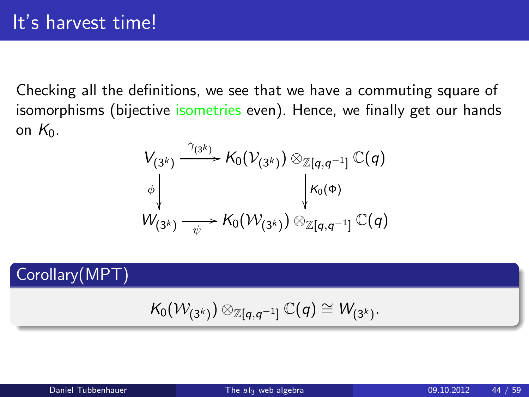Checking all the definitions, we see that we have a commuting square of isomorphisms (bijective isometries even). Hence, we finally get our hands on  $K_0$ .

$$
V_{(3^k)} \xrightarrow{\gamma_{(3^k)}} K_0(\mathcal{V}_{(3^k)}) \otimes_{\mathbb{Z}[q,q^{-1}]} \mathbb{C}(q)
$$
  
\n
$$
\phi \downarrow \qquad \qquad \downarrow K_0(\Phi)
$$
  
\n
$$
W_{(3^k)} \xrightarrow{\psi} K_0(\mathcal{W}_{(3^k)}) \otimes_{\mathbb{Z}[q,q^{-1}]} \mathbb{C}(q)
$$

Corollary(MPT)

$$
\mathcal{K}_0(\mathcal{W}_{(3^k)}) \otimes_{\mathbb{Z}[q,q^{-1}]} \mathbb{C}(q) \cong \mathcal{W}_{(3^k)}.
$$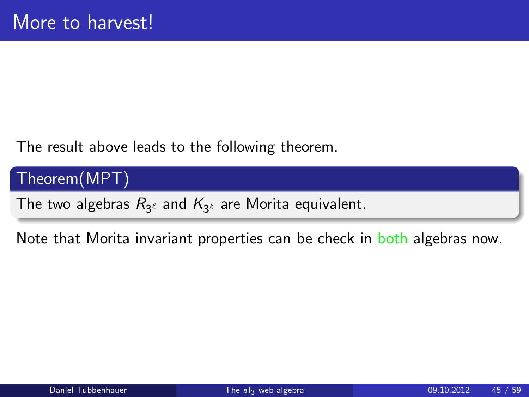The result above leads to the following theorem.

Theorem(MPT)

The two algebras  $R_{3^{\ell}}$  and  $\mathcal{K}_{3^{\ell}}$  are Morita equivalent.

Note that Morita invariant properties can be check in both algebras now.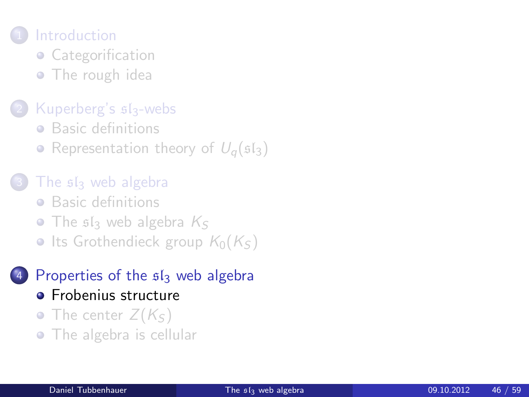## **[Introduction](#page-1-0)**

- [Categorification](#page-1-0)
- [The rough idea](#page-6-0)

### [Kuperberg's](#page-8-0)  $s1_3$ -webs

- **•** [Basic definitions](#page-8-0)
- [Representation theory of](#page-13-0)  $U_q(\mathfrak{sl}_3)$
- The siz [web algebra](#page-17-0)
	- **•** [Basic definitions](#page-17-0)
	- $\bullet$  The s<sub>s</sub> [web algebra](#page-24-0)  $K_S$
	- [Its Grothendieck group](#page-29-0)  $K_0(K<sub>S</sub>)$

### [Properties of the](#page-45-0)  $sI_3$  web algebra

- **•** [Frobenius structure](#page-45-0)
- [The center](#page-48-0)  $Z(K_{S})$
- <span id="page-45-0"></span>• [The algebra is cellular](#page-53-0)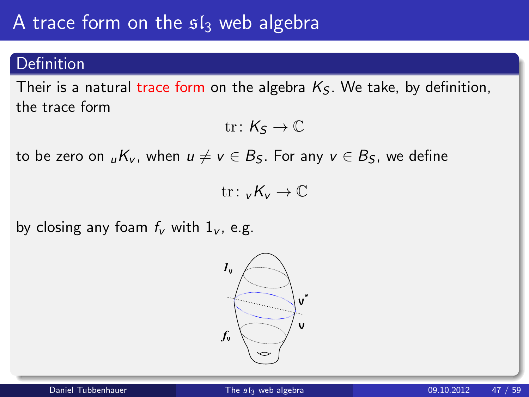## A trace form on the  $sI_3$  web algebra

#### Definition

Their is a natural trace form on the algebra  $K<sub>S</sub>$ . We take, by definition, the trace form

$$
\mathrm{tr}\colon \mathsf{K}_\mathsf{S}\to \mathbb{C}
$$

to be zero on  $_{\mu}K_v$ , when  $u \neq v \in B_S$ . For any  $v \in B_S$ , we define

tr:  $\nu K_{\nu} \to \mathbb{C}$ 

by closing any foam  $f_v$  with  $1_v$ , e.g.

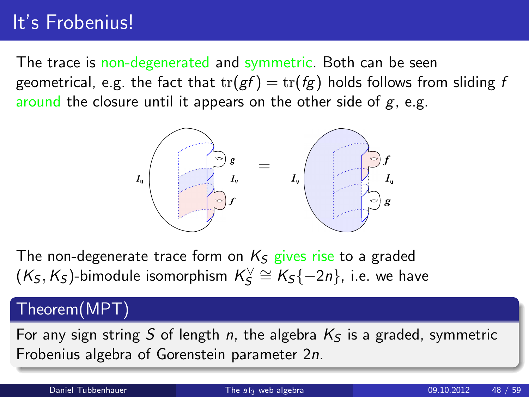## It's Frobenius!

The trace is non-degenerated and symmetric. Both can be seen geometrical, e.g. the fact that  $tr(gf) = tr(fg)$  holds follows from sliding f around the closure until it appears on the other side of  $g$ , e.g.



The non-degenerate trace form on  $K_S$  gives rise to a graded  $(\mathcal{K}_\mathcal{S}, \mathcal{K}_\mathcal{S})$ -bimodule isomorphism  $\mathcal{K}_\mathcal{S}^\vee \cong \mathcal{K}_\mathcal{S}\{-2n\}$ , i.e. we have

### Theorem(MPT)

For any sign string S of length n, the algebra  $K<sub>S</sub>$  is a graded, symmetric Frobenius algebra of Gorenstein parameter 2n.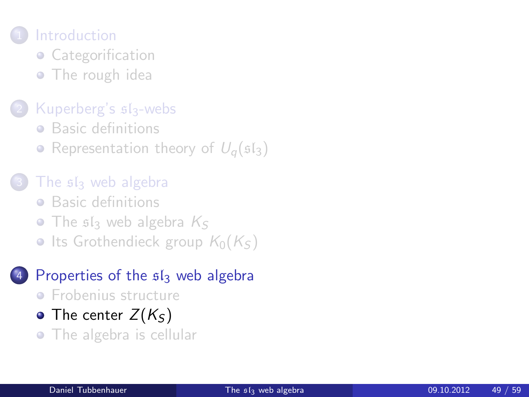## **[Introduction](#page-1-0)**

- [Categorification](#page-1-0)
- [The rough idea](#page-6-0)

### [Kuperberg's](#page-8-0)  $s1_3$ -webs

- **•** [Basic definitions](#page-8-0)
- [Representation theory of](#page-13-0)  $U_q(\mathfrak{sl}_3)$
- The siz [web algebra](#page-17-0)
	- **•** [Basic definitions](#page-17-0)
	- $\bullet$  The s<sub>s</sub> [web algebra](#page-24-0)  $K_S$
	- [Its Grothendieck group](#page-29-0)  $K_0(K<sub>S</sub>)$

### [Properties of the](#page-45-0)  $sI_3$  web algebra

- **•** [Frobenius structure](#page-45-0)
- [The center](#page-48-0)  $Z(K<sub>S</sub>)$
- <span id="page-48-0"></span>• [The algebra is cellular](#page-53-0)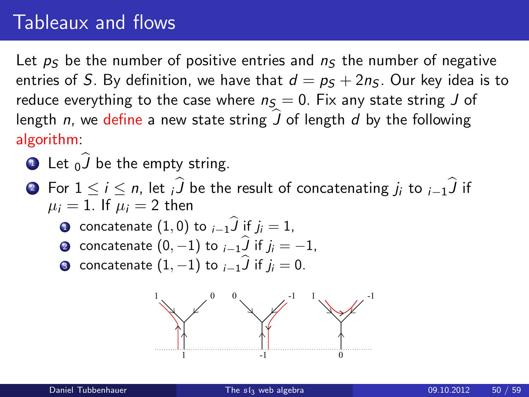## Tableaux and flows

Let  $p<sub>S</sub>$  be the number of positive entries and  $n<sub>S</sub>$  the number of negative entries of S. By definition, we have that  $d = p<sub>S</sub> + 2n<sub>S</sub>$ . Our key idea is to reduce everything to the case where  $n<sub>S</sub> = 0$ . Fix any state string J of length n, we define a new state string  $\hat{J}$  of length d by the following algorithm:

- **1** Let  $_0$  be the empty string.
- 2 For  $1 \le i \le n$ , let iJ be the result of concatenating  $j_i$  to  $_{i-1}$ J if  $\mu_i = 1$ . If  $\mu_i = 2$  then
	- concatenate  $(1,0)$  to  $_{i-1}J$  if  $j_i = 1$ ,
	- ⊇ concatenate  $(0, -1)$  to  $i-1$ <sub>∕</sub> if  $j_i = -1$ ,
	- **3** concatenate  $(1, -1)$  to  $i-1$  if  $j_i = 0$ .

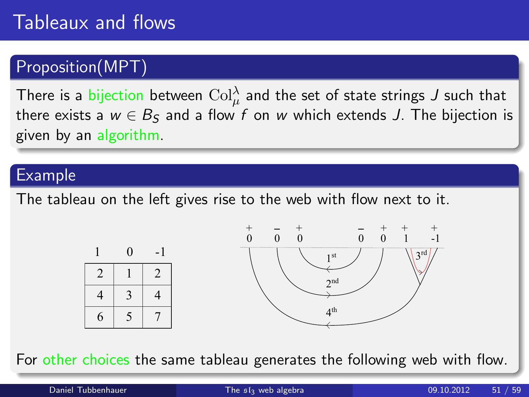## Proposition(MPT)

There is a bijection between  $\mathrm{Col}^\lambda_\mu$  and the set of state strings  $J$  such that there exists a  $w \in B_5$  and a flow f on w which extends J. The bijection is given by an algorithm.

#### Example

The tableau on the left gives rise to the web with flow next to it.



For other choices the same tableau generates the following web with flow.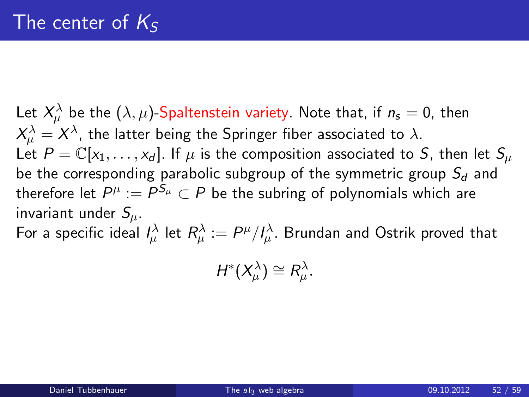Let  $X^\lambda_\mu$  be the  $(\lambda,\mu)$ -Spaltenstein variety. Note that, if  $n_{\mathsf{s}}=0$ , then  $X^\lambda_\mu = X^\lambda$ , the latter being the Springer fiber associated to  $\lambda.$ Let  $P = \mathbb{C}[x_1, \ldots, x_d]$ . If  $\mu$  is the composition associated to S, then let  $S_\mu$ be the corresponding parabolic subgroup of the symmetric group  $S_d$  and therefore let  $P^\mu:=P^{{\mathcal S}_\mu}\subset P$  be the subring of polynomials which are invariant under  $S_{\mu}$ . For a specific ideal  $I_\mu^\lambda$  let  $R^\lambda_\mu:=P^\mu/I^\lambda_\mu.$  Brundan and Ostrik proved that

 $H^*(X^\lambda_\mu) \cong R^\lambda_\mu.$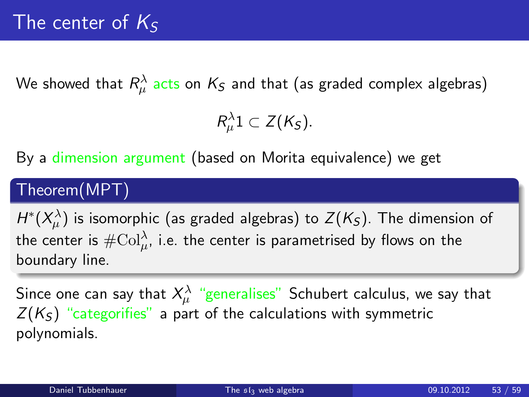We showed that  $R^\lambda_\mu$  acts on  $\mathcal{K}_\mathcal{S}$  and that (as graded complex algebras)

 $R^{\lambda}_{\mu}1 \subset Z(K_{S}).$ 

By a dimension argument (based on Morita equivalence) we get

## Theorem(MPT)

 $H^*(X^\lambda_\mu)$  is isomorphic (as graded algebras) to  $Z(K_{\mathcal S}).$  The dimension of the center is  $\#\mathrm{Col}^\lambda_\mu$ , i.e. the center is parametrised by flows on the boundary line.

Since one can say that  $X^\lambda_\mu$  "generalises" Schubert calculus, we say that  $Z(K<sub>S</sub>)$  "categorifies" a part of the calculations with symmetric polynomials.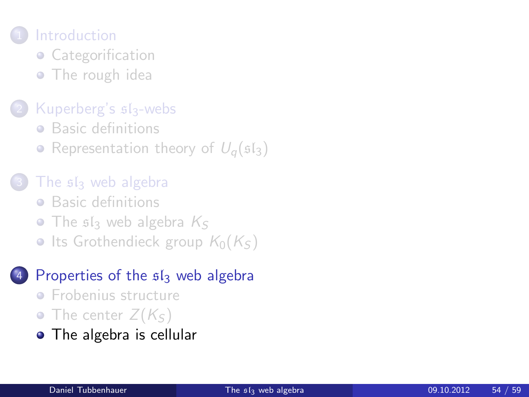## **[Introduction](#page-1-0)**

- [Categorification](#page-1-0)
- [The rough idea](#page-6-0)

### [Kuperberg's](#page-8-0)  $s1_3$ -webs

- **•** [Basic definitions](#page-8-0)
- [Representation theory of](#page-13-0)  $U_{\alpha}(\mathfrak{sl}_3)$
- The siz [web algebra](#page-17-0)
	- **•** [Basic definitions](#page-17-0)
	- $\bullet$  The s<sub>s</sub> [web algebra](#page-24-0)  $K_S$
	- [Its Grothendieck group](#page-29-0)  $K_0(K_S)$

### [Properties of the](#page-45-0)  $sI_3$  web algebra

- **•** [Frobenius structure](#page-45-0)
- [The center](#page-48-0)  $Z(K_{S})$
- <span id="page-53-0"></span>• [The algebra is cellular](#page-53-0)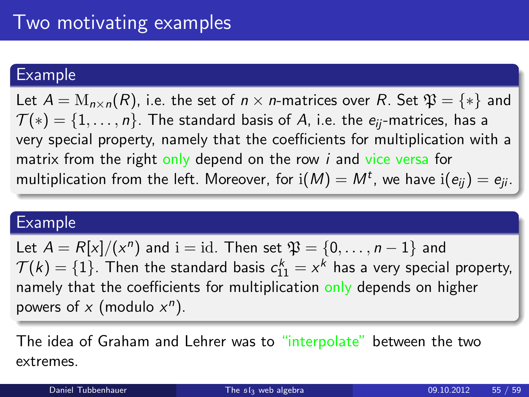### Example

Let  $A = M_{n \times n}(R)$ , i.e. the set of  $n \times n$ -matrices over R. Set  $\mathfrak{P} = \{ * \}$  and  $\mathcal{T}(*) = \{1, \ldots, n\}$ . The standard basis of A, i.e. the  $e_{ii}$ -matrices, has a very special property, namely that the coefficients for multiplication with a matrix from the right only depend on the row  $i$  and vice versa for multiplication from the left. Moreover, for  $\mathrm{i}(M)=M^t$ , we have  $\mathrm{i}(e_{ij})=e_{ji}.$ 

#### Example

Let  $A = R[x]/(x^n)$  and  $i = id$ . Then set  $\mathfrak{P} = \{0, \ldots, n-1\}$  and  $\mathcal{T}(k)=\{1\}.$  Then the standard basis  $c_{11}^k=x^k$  has a very special property, namely that the coefficients for multiplication only depends on higher powers of  $x$  (modulo  $x^n$ ).

The idea of Graham and Lehrer was to "interpolate" between the two extremes.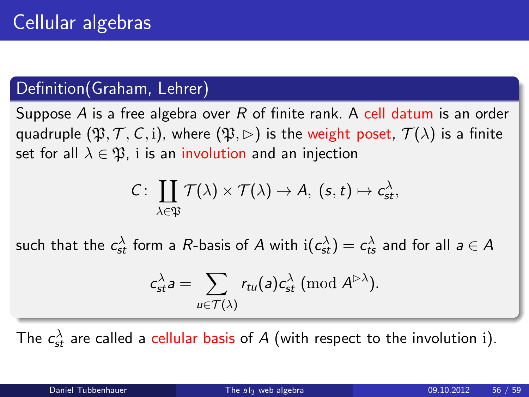## Definition(Graham, Lehrer)

Suppose A is a free algebra over R of finite rank. A cell datum is an order quadruple  $(\mathfrak{P}, \mathcal{T}, \mathcal{C}, i)$ , where  $(\mathfrak{P}, \rhd)$  is the weight poset,  $\mathcal{T}(\lambda)$  is a finite set for all  $\lambda \in \mathfrak{P}$ , i is an involution and an injection

$$
C\colon\thinspace\coprod_{\lambda\in\mathfrak{P}}\mathcal{T}(\lambda)\times\mathcal{T}(\lambda)\to A,\ (s,t)\mapsto c_{st}^\lambda,
$$

such that the  $c_{st}^\lambda$  form a  $R$ -basis of  $A$  with  $\mathrm{i}(c_{st}^\lambda)=c_{ts}^\lambda$  and for all  $a\in A$ 

$$
c_{st}^{\lambda}a = \sum_{u \in \mathcal{T}(\lambda)} r_{tu}(a)c_{st}^{\lambda} \; (\textrm{mod } A^{\rhd \lambda}).
$$

The  $c_{\textit{st}}^{\lambda}$  are called a cellular basis of  $A$  (with respect to the involution i).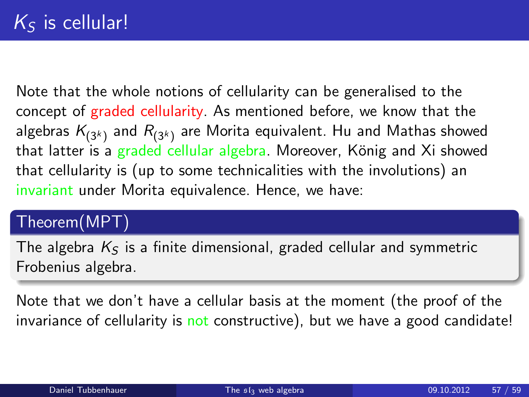Note that the whole notions of cellularity can be generalised to the concept of graded cellularity. As mentioned before, we know that the algebras  $\mathcal{K}_{(3^k)}$  and  $\mathcal{R}_{(3^k)}$  are Morita equivalent. Hu and Mathas showed that latter is a graded cellular algebra. Moreover, König and Xi showed that cellularity is (up to some technicalities with the involutions) an invariant under Morita equivalence. Hence, we have:

## Theorem(MPT)

The algebra  $K<sub>S</sub>$  is a finite dimensional, graded cellular and symmetric Frobenius algebra.

Note that we don't have a cellular basis at the moment (the proof of the invariance of cellularity is not constructive), but we have a good candidate!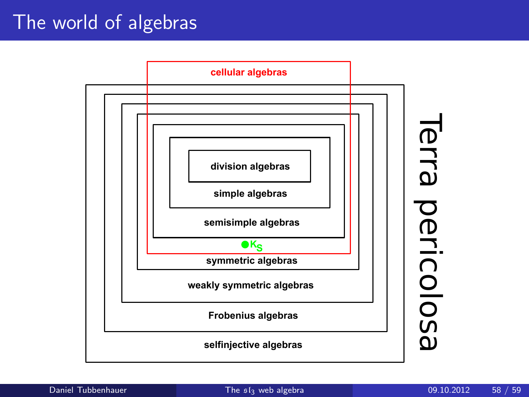## The world of algebras



Terra pericolosa Terra pericolosa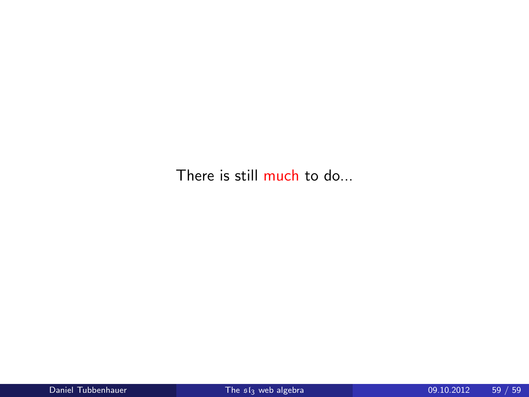There is still much to do...